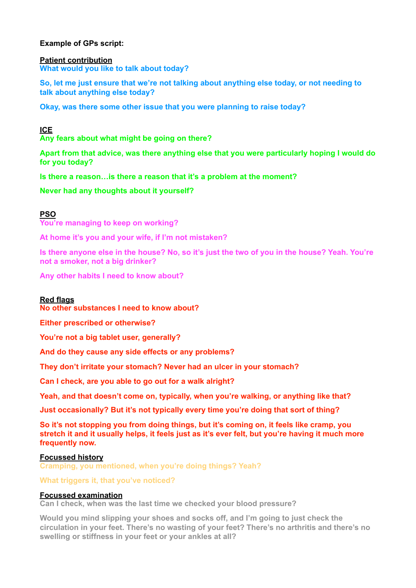# **Example of GPs script:**

**Patient contribution What would you like to talk about today?** 

**So, let me just ensure that we're not talking about anything else today, or not needing to talk about anything else today?** 

**Okay, was there some other issue that you were planning to raise today?**

# **ICE**

**Any fears about what might be going on there?** 

**Apart from that advice, was there anything else that you were particularly hoping I would do for you today?** 

**Is there a reason…is there a reason that it's a problem at the moment?** 

**Never had any thoughts about it yourself?**

# **PSO**

**You're managing to keep on working?** 

**At home it's you and your wife, if I'm not mistaken?** 

**Is there anyone else in the house? No, so it's just the two of you in the house? Yeah. You're not a smoker, not a big drinker?** 

**Any other habits I need to know about?**

## **Red flags**

**No other substances I need to know about?** 

**Either prescribed or otherwise?** 

**You're not a big tablet user, generally?** 

**And do they cause any side effects or any problems?** 

**They don't irritate your stomach? Never had an ulcer in your stomach?** 

**Can I check, are you able to go out for a walk alright?** 

**Yeah, and that doesn't come on, typically, when you're walking, or anything like that?** 

**Just occasionally? But it's not typically every time you're doing that sort of thing?** 

**So it's not stopping you from doing things, but it's coming on, it feels like cramp, you stretch it and it usually helps, it feels just as it's ever felt, but you're having it much more frequently now.** 

## **Focussed history**

**Cramping, you mentioned, when you're doing things? Yeah?** 

## **What triggers it, that you've noticed?**

## **Focussed examination**

**Can I check, when was the last time we checked your blood pressure?** 

**Would you mind slipping your shoes and socks off, and I'm going to just check the circulation in your feet. There's no wasting of your feet? There's no arthritis and there's no swelling or stiffness in your feet or your ankles at all?**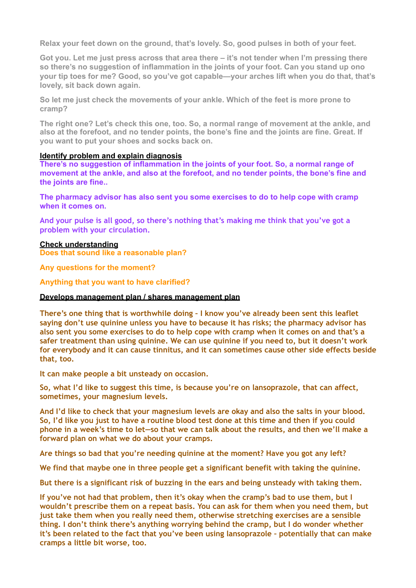**Relax your feet down on the ground, that's lovely. So, good pulses in both of your feet.** 

**Got you. Let me just press across that area there – it's not tender when I'm pressing there so there's no suggestion of inflammation in the joints of your foot. Can you stand up ono your tip toes for me? Good, so you've got capable—your arches lift when you do that, that's lovely, sit back down again.** 

**So let me just check the movements of your ankle. Which of the feet is more prone to cramp?** 

**The right one? Let's check this one, too. So, a normal range of movement at the ankle, and also at the forefoot, and no tender points, the bone's fine and the joints are fine. Great. If you want to put your shoes and socks back on.** 

#### **Identify problem and explain diagnosis**

**There's no suggestion of inflammation in the joints of your foot. So, a normal range of movement at the ankle, and also at the forefoot, and no tender points, the bone's fine and the joints are fine..** 

**The pharmacy advisor has also sent you some exercises to do to help cope with cramp when it comes on.** 

**And your pulse is all good, so there's nothing that's making me think that you've got a problem with your circulation.**

#### **Check understanding**

**Does that sound like a reasonable plan?** 

**Any questions for the moment?** 

**Anything that you want to have clarified?**

#### **Develops management plan / shares management plan**

**There's one thing that is worthwhile doing – I know you've already been sent this leaflet saying don't use quinine unless you have to because it has risks; the pharmacy advisor has also sent you some exercises to do to help cope with cramp when it comes on and that's a safer treatment than using quinine. We can use quinine if you need to, but it doesn't work for everybody and it can cause tinnitus, and it can sometimes cause other side effects beside that, too.** 

**It can make people a bit unsteady on occasion.** 

**So, what I'd like to suggest this time, is because you're on lansoprazole, that can affect, sometimes, your magnesium levels.** 

**And I'd like to check that your magnesium levels are okay and also the salts in your blood. So, I'd like you just to have a routine blood test done at this time and then if you could phone in a week's time to let—so that we can talk about the results, and then we'll make a forward plan on what we do about your cramps.** 

**Are things so bad that you're needing quinine at the moment? Have you got any left?** 

**We find that maybe one in three people get a significant benefit with taking the quinine.** 

**But there is a significant risk of buzzing in the ears and being unsteady with taking them.** 

**If you've not had that problem, then it's okay when the cramp's bad to use them, but I wouldn't prescribe them on a repeat basis. You can ask for them when you need them, but just take them when you really need them, otherwise stretching exercises are a sensible thing. I don't think there's anything worrying behind the cramp, but I do wonder whether it's been related to the fact that you've been using lansoprazole – potentially that can make cramps a little bit worse, too.**